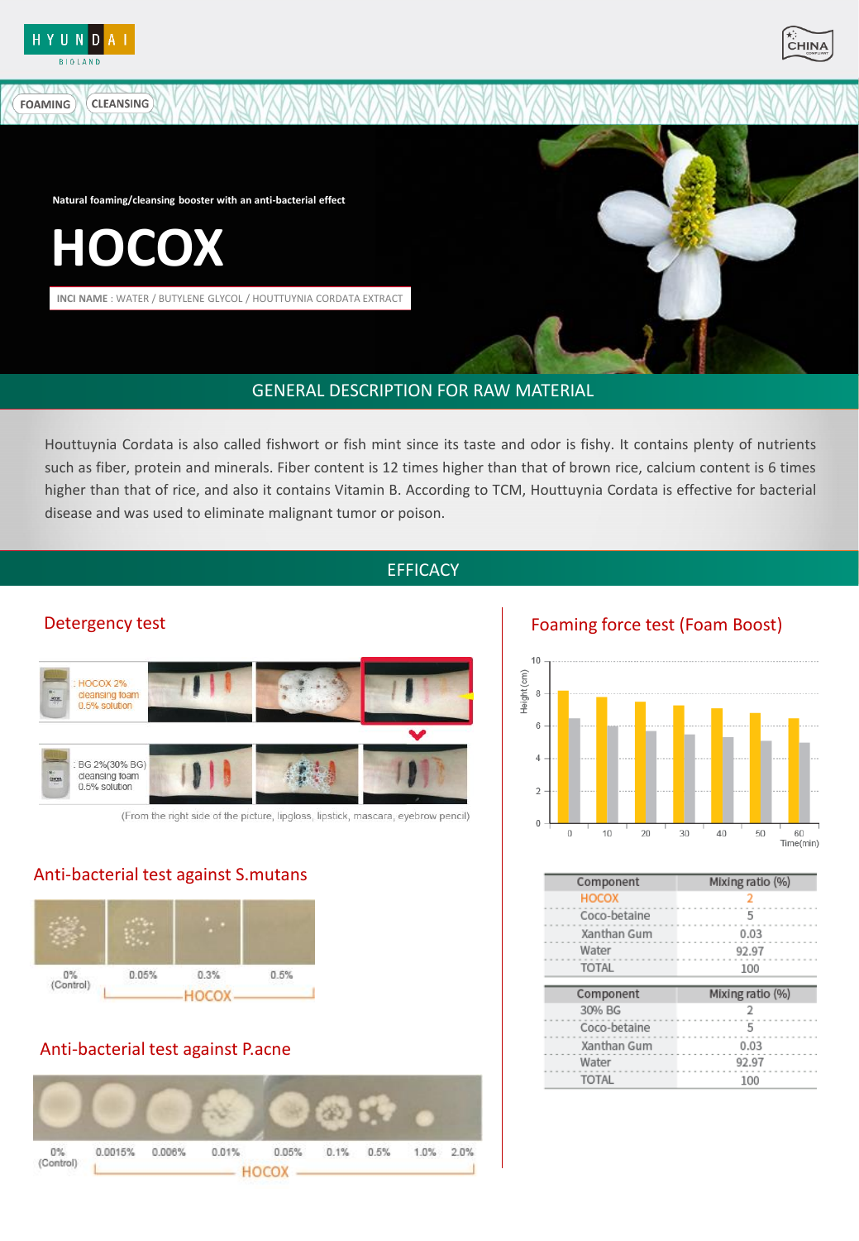

**FOAMING** 



**Natural foaming/cleansing booster with an anti-bacterial effect**

**HOCOX**

**CLEANSING** 

**INCI NAME** : WATER / BUTYLENE GLYCOL / HOUTTUYNIA CORDATA EXTRACT



## GENERAL DESCRIPTION FOR RAW MATERIAL GENERAL DESCRIPTION FOR RAW MATERIAL

Houttuynia Cordata is also called fishwort or fish mint since its taste and odor is fishy. It contains plenty of nutrients such as fiber, protein and minerals. Fiber content is 12 times higher than that of brown rice, calcium content is 6 times higher than that of rice, and also it contains Vitamin B. According to TCM, Houttuynia Cordata is effective for bacterial disease and was used to eliminate malignant tumor or poison.

## EFFICACY EFFICACY



(From the right side of the picture, lipgloss, lipstick, mascara, eyebrow pencil)

### Anti-bacterial test against S.mutans



## Anti-bacterial test against P.acne



Detergency test Foaming force test (Foam Boost)



| Component    | Mixing ratio (%) |  |  |
|--------------|------------------|--|--|
| <b>HOCOX</b> | 2                |  |  |
| Coco-betaine | 5                |  |  |
| Xanthan Gum  | 0.03             |  |  |
| Water        | 92.97            |  |  |
| <b>TOTAL</b> | 100              |  |  |
|              |                  |  |  |
|              |                  |  |  |
| Component    | Mixing ratio (%) |  |  |
| 30% BG       | 2                |  |  |
| Coco-betaine | 5                |  |  |
| Xanthan Gum  | 0.03             |  |  |
| Water        | 92.97            |  |  |